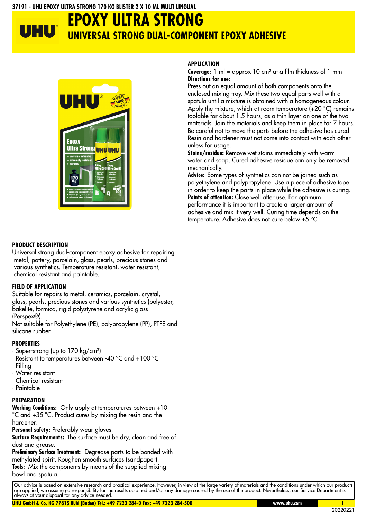#### **37191 - UHU EPOXY ULTRA STRONG 170 KG BLISTER 2 X 10 ML MULTI LINGUAL**

### **EPOXY ULTRA STRONG** UHU **UNIVERSAL STRONG DUAL-COMPONENT EPOXY ADHESIVE**



#### **PRODUCT DESCRIPTION**

Universal strong dual-component epoxy adhesive for repairing metal, pottery, porcelain, glass, pearls, precious stones and various synthetics. Temperature resistant, water resistant, chemical resistant and paintable.

#### **FIELD OF APPLICATION**

Suitable for repairs to metal, ceramics, porcelain, crystal, glass, pearls, precious stones and various synthetics (polyester, bakelite, formica, rigid polystyrene and acrylic glass (Perspex®).

Not suitable for Polyethylene (PE), polypropylene (PP), PTFE and silicone rubber.

#### **PROPERTIES**

- · Super-strong (up to 170 kg/cm²)
- · Resistant to temperatures between -40 °C and +100 °C
- · Filling
- · Water resistant
- · Chemical resistant

## · Paintable

#### **PREPARATION**

**Working Conditions:** Only apply at temperatures between +10 °C and +35 °C. Product cures by mixing the resin and the hardener.

Personal safety: Preferably wear gloves.

Surface Requirements: The surface must be dry, clean and free of dust and grease.

**Preliminary Surface Treatment:** Degrease parts to be bonded with methylated spirit. Roughen smooth surfaces (sandpaper). **Tools:** Mix the components by means of the supplied mixing bowl and spatula.

#### **APPLICATION**

**Coverage:** 1 ml = approx 10 cm² at a film thickness of 1 mm **Directions for use:** 

Press out an equal amount of both components onto the enclosed mixing tray. Mix these two equal parts well with a spatula until a mixture is obtained with a homogeneous colour. Apply the mixture, which at room temperature  $(+20 °C)$  remains toolable for about 1.5 hours, as a thin layer on one of the two materials. Join the materials and keep them in place for 7 hours. Be careful not to move the parts before the adhesive has cured. Resin and hardener must not come into contact with each other unless for usage.

**Stains/residue:** Remove wet stains immediately with warm water and soap. Cured adhesive residue can only be removed mechanically.

**Advice:**  Some types of synthetics can not be joined such as polyethylene and polypropylene. Use a piece of adhesive tape in order to keep the parts in place while the adhesive is curing. Points of attention: Close well after use. For optimum performance it is important to create a larger amount of adhesive and mix it very well. Curing time depends on the temperature. Adhesive does not cure below +5 °C.

Our advice is based on extensive research and practical experience. However, in view of the large variety of materials and the conditions under which our products are applied, we assume no responsibility for the results obtained and/or any damage caused by the use of the product. Nevertheless, our Service Department is always at your disposal for any advice needed.

**UHU GmbH & Co. KG 77815 Bühl (Baden) Tel.: +49 7223 284-0 Fax: +49 7223 284-500 www.uhu.com 1**